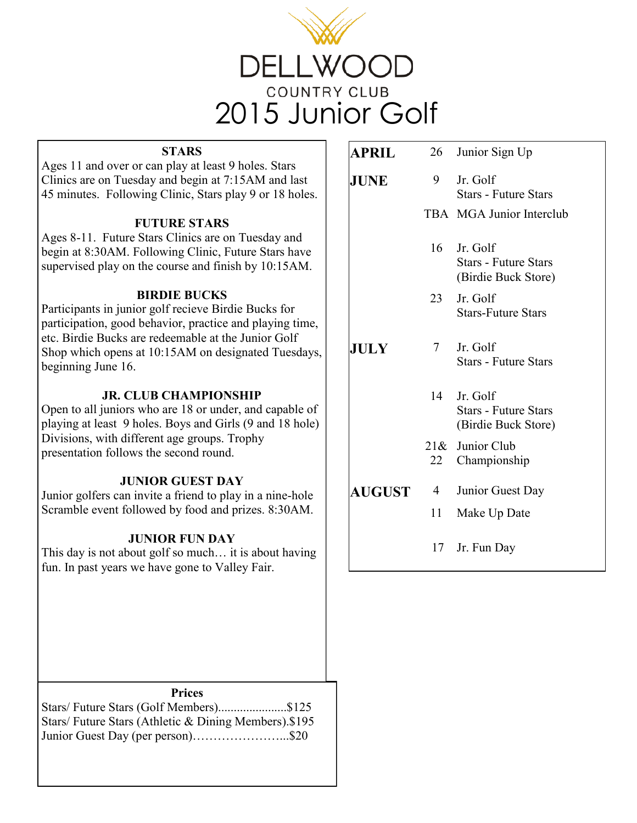

#### **STARS**

Ages 11 and over or can play at least 9 holes. Stars Clinics are on Tuesday and begin at 7:15AM and last 45 minutes. Following Clinic, Stars play 9 or 18 holes.

### **FUTURE STARS**

Ages 8-11. Future Stars Clinics are on Tuesday and begin at 8:30AM. Following Clinic, Future Stars have supervised play on the course and finish by 10:15AM.

### **BIRDIE BUCKS**

Participants in junior golf recieve Birdie Bucks for participation, good behavior, practice and playing time, etc. Birdie Bucks are redeemable at the Junior Golf Shop which opens at 10:15AM on designated Tuesdays, beginning June 16.

## **JR. CLUB CHAMPIONSHIP**

Open to all juniors who are 18 or under, and capable of playing at least 9 holes. Boys and Girls (9 and 18 hole) Divisions, with different age groups. Trophy presentation follows the second round.

### **JUNIOR GUEST DAY**

Junior golfers can invite a friend to play in a nine-hole Scramble event followed by food and prizes. 8:30AM.

### **JUNIOR FUN DAY**

This day is not about golf so much… it is about having fun. In past years we have gone to Valley Fair.

| <b>JUNE</b>   | 9              | Jr. Golf<br><b>Stars - Future Stars</b><br>TBA MGA Junior Interclub |
|---------------|----------------|---------------------------------------------------------------------|
|               |                |                                                                     |
|               |                |                                                                     |
|               | 16             | Jr. Golf<br><b>Stars - Future Stars</b><br>(Birdie Buck Store)      |
|               | 23             | Jr. Golf<br><b>Stars-Future Stars</b>                               |
| JULY          | $7\degree$     | Jr. Golf<br><b>Stars - Future Stars</b>                             |
|               | 14             | Jr. Golf<br><b>Stars - Future Stars</b><br>(Birdie Buck Store)      |
|               |                | 21& Junior Club<br>22 Championship                                  |
| <b>AUGUST</b> | $\overline{4}$ | Junior Guest Day                                                    |
|               | $11 -$         | Make Up Date                                                        |
|               |                | 17 Jr. Fun Day                                                      |

#### **Prices**

Stars/ Future Stars (Golf Members)......................\$125 Stars/ Future Stars (Athletic & Dining Members).\$195 Junior Guest Day (per person)…………………...\$20